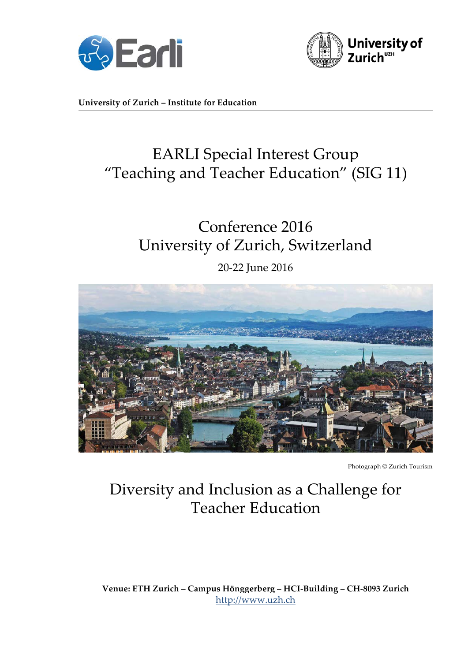



**University of Zurich – Institute for Education**

# EARLI Special Interest Group "Teaching and Teacher Education" (SIG 11)

# Conference 2016 University of Zurich, Switzerland

20-22 June 2016



Photograph © Zurich Tourism

## Diversity and Inclusion as a Challenge for Teacher Education

**Venue: ETH Zurich – Campus Hönggerberg – HCI-Building – CH-8093 Zurich** http://www.uzh.ch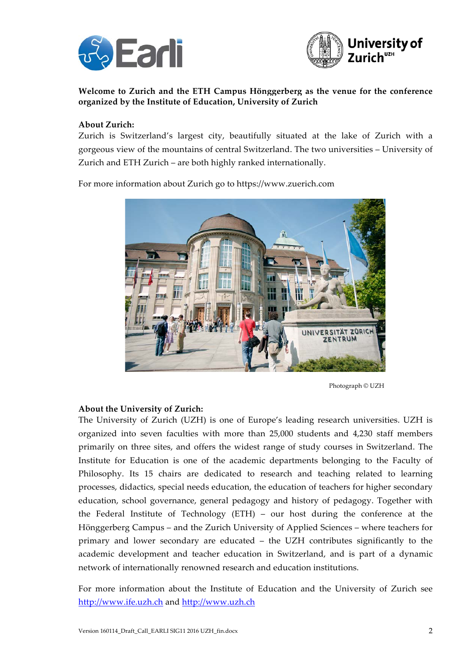



#### **Welcome to Zurich and the ETH Campus Hönggerberg as the venue for the conference organized by the Institute of Education, University of Zurich**

#### **About Zurich:**

Zurich is Switzerland's largest city, beautifully situated at the lake of Zurich with a gorgeous view of the mountains of central Switzerland. The two universities – University of Zurich and ETH Zurich – are both highly ranked internationally.

For more information about Zurich go to https://www.zuerich.com



Photograph © UZH

#### **About the University of Zurich:**

The University of Zurich (UZH) is one of Europe's leading research universities. UZH is organized into seven faculties with more than 25,000 students and 4,230 staff members primarily on three sites, and offers the widest range of study courses in Switzerland. The Institute for Education is one of the academic departments belonging to the Faculty of Philosophy. Its 15 chairs are dedicated to research and teaching related to learning processes, didactics, special needs education, the education of teachers for higher secondary education, school governance, general pedagogy and history of pedagogy. Together with the Federal Institute of Technology (ETH) – our host during the conference at the Hönggerberg Campus – and the Zurich University of Applied Sciences – where teachers for primary and lower secondary are educated – the UZH contributes significantly to the academic development and teacher education in Switzerland, and is part of a dynamic network of internationally renowned research and education institutions.

For more information about the Institute of Education and the University of Zurich see http://www.ife.uzh.ch and http://www.uzh.ch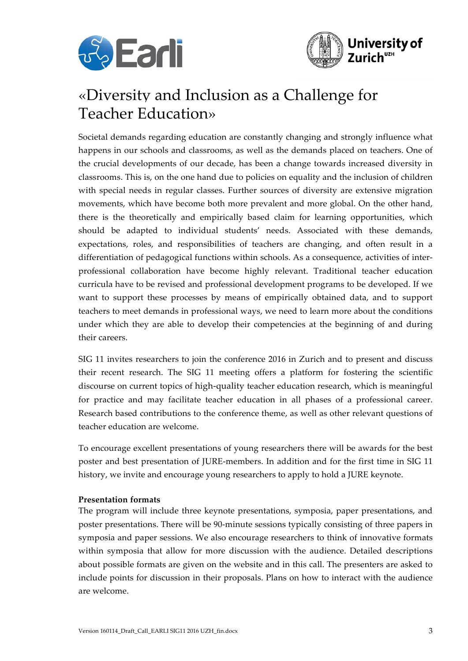



### «Diversity and Inclusion as a Challenge for Teacher Education»

Societal demands regarding education are constantly changing and strongly influence what happens in our schools and classrooms, as well as the demands placed on teachers. One of the crucial developments of our decade, has been a change towards increased diversity in classrooms. This is, on the one hand due to policies on equality and the inclusion of children with special needs in regular classes. Further sources of diversity are extensive migration movements, which have become both more prevalent and more global. On the other hand, there is the theoretically and empirically based claim for learning opportunities, which should be adapted to individual students' needs. Associated with these demands, expectations, roles, and responsibilities of teachers are changing, and often result in a differentiation of pedagogical functions within schools. As a consequence, activities of interprofessional collaboration have become highly relevant. Traditional teacher education curricula have to be revised and professional development programs to be developed. If we want to support these processes by means of empirically obtained data, and to support teachers to meet demands in professional ways, we need to learn more about the conditions under which they are able to develop their competencies at the beginning of and during their careers.

SIG 11 invites researchers to join the conference 2016 in Zurich and to present and discuss their recent research. The SIG 11 meeting offers a platform for fostering the scientific discourse on current topics of high-quality teacher education research, which is meaningful for practice and may facilitate teacher education in all phases of a professional career. Research based contributions to the conference theme, as well as other relevant questions of teacher education are welcome.

To encourage excellent presentations of young researchers there will be awards for the best poster and best presentation of JURE-members. In addition and for the first time in SIG 11 history, we invite and encourage young researchers to apply to hold a JURE keynote.

#### **Presentation formats**

The program will include three keynote presentations, symposia, paper presentations, and poster presentations. There will be 90-minute sessions typically consisting of three papers in symposia and paper sessions. We also encourage researchers to think of innovative formats within symposia that allow for more discussion with the audience. Detailed descriptions about possible formats are given on the website and in this call. The presenters are asked to include points for discussion in their proposals. Plans on how to interact with the audience are welcome.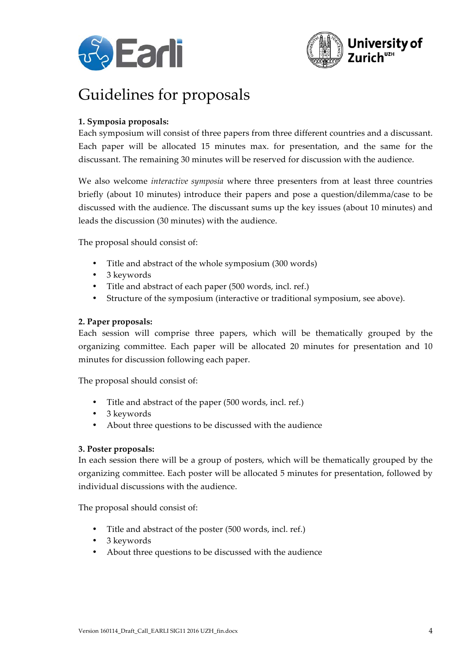



# Guidelines for proposals

#### **1. Symposia proposals:**

Each symposium will consist of three papers from three different countries and a discussant. Each paper will be allocated 15 minutes max. for presentation, and the same for the discussant. The remaining 30 minutes will be reserved for discussion with the audience.

We also welcome *interactive symposia* where three presenters from at least three countries briefly (about 10 minutes) introduce their papers and pose a question/dilemma/case to be discussed with the audience. The discussant sums up the key issues (about 10 minutes) and leads the discussion (30 minutes) with the audience.

The proposal should consist of:

- Title and abstract of the whole symposium (300 words)
- 3 keywords
- Title and abstract of each paper (500 words, incl. ref.)
- Structure of the symposium (interactive or traditional symposium, see above).

#### **2. Paper proposals:**

Each session will comprise three papers, which will be thematically grouped by the organizing committee. Each paper will be allocated 20 minutes for presentation and 10 minutes for discussion following each paper.

The proposal should consist of:

- Title and abstract of the paper (500 words, incl. ref.)
- 3 keywords
- About three questions to be discussed with the audience

#### **3. Poster proposals:**

In each session there will be a group of posters, which will be thematically grouped by the organizing committee. Each poster will be allocated 5 minutes for presentation, followed by individual discussions with the audience.

The proposal should consist of:

- Title and abstract of the poster (500 words, incl. ref.)
- 3 keywords
- About three questions to be discussed with the audience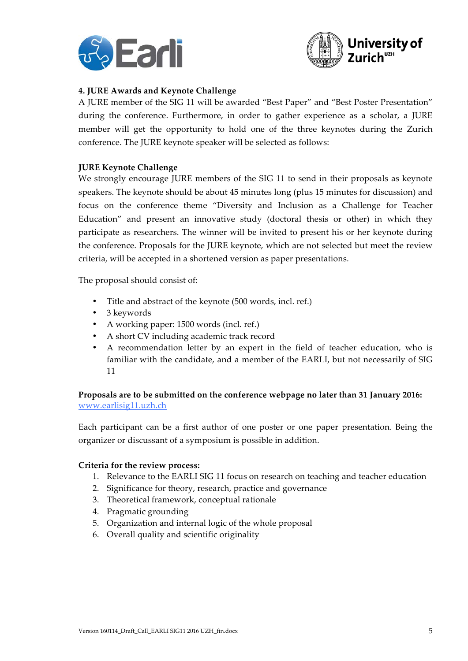



#### **4. JURE Awards and Keynote Challenge**

A JURE member of the SIG 11 will be awarded "Best Paper" and "Best Poster Presentation" during the conference. Furthermore, in order to gather experience as a scholar, a JURE member will get the opportunity to hold one of the three keynotes during the Zurich conference. The JURE keynote speaker will be selected as follows:

#### **JURE Keynote Challenge**

We strongly encourage JURE members of the SIG 11 to send in their proposals as keynote speakers. The keynote should be about 45 minutes long (plus 15 minutes for discussion) and focus on the conference theme "Diversity and Inclusion as a Challenge for Teacher Education" and present an innovative study (doctoral thesis or other) in which they participate as researchers. The winner will be invited to present his or her keynote during the conference. Proposals for the JURE keynote, which are not selected but meet the review criteria, will be accepted in a shortened version as paper presentations.

The proposal should consist of:

- Title and abstract of the keynote (500 words, incl. ref.)
- 3 keywords
- A working paper: 1500 words (incl. ref.)
- A short CV including academic track record
- A recommendation letter by an expert in the field of teacher education, who is familiar with the candidate, and a member of the EARLI, but not necessarily of SIG 11

**Proposals are to be submitted on the conference webpage no later than 31 January 2016:**  www.earlisig11.uzh.ch

Each participant can be a first author of one poster or one paper presentation. Being the organizer or discussant of a symposium is possible in addition.

#### **Criteria for the review process:**

- 1. Relevance to the EARLI SIG 11 focus on research on teaching and teacher education
- 2. Significance for theory, research, practice and governance
- 3. Theoretical framework, conceptual rationale
- 4. Pragmatic grounding
- 5. Organization and internal logic of the whole proposal
- 6. Overall quality and scientific originality